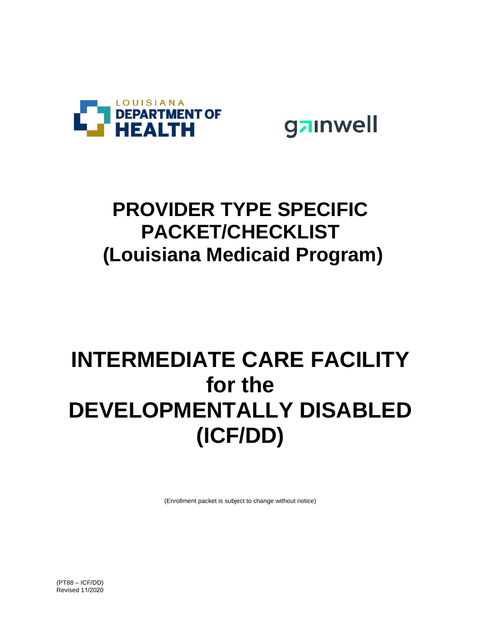

gainwell

## **PROVIDER TYPE SPECIFIC PACKET/CHECKLIST (Louisiana Medicaid Program)**

# **INTERMEDIATE CARE FACILITY for the DEVELOPMENTALLY DISABLED (ICF/DD)**

(Enrollment packet is subject to change without notice)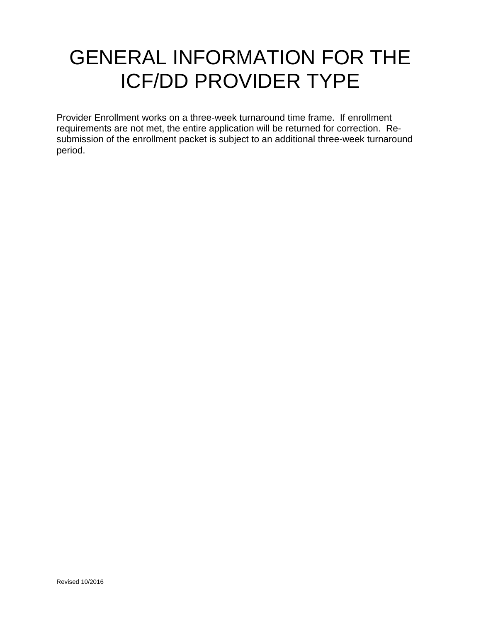## GENERAL INFORMATION FOR THE ICF/DD PROVIDER TYPE

Provider Enrollment works on a three-week turnaround time frame. If enrollment requirements are not met, the entire application will be returned for correction. Resubmission of the enrollment packet is subject to an additional three-week turnaround period.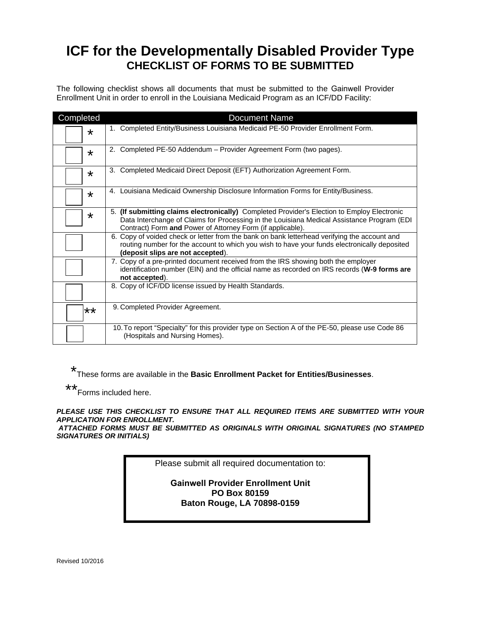### **ICF for the Developmentally Disabled Provider Type CHECKLIST OF FORMS TO BE SUBMITTED**

The following checklist shows all documents that must be submitted to the Gainwell Provider Enrollment Unit in order to enroll in the Louisiana Medicaid Program as an ICF/DD Facility:

| Completed | <b>Document Name</b>                                                                                                                                                                                                                                    |
|-----------|---------------------------------------------------------------------------------------------------------------------------------------------------------------------------------------------------------------------------------------------------------|
| $\star$   | 1. Completed Entity/Business Louisiana Medicaid PE-50 Provider Enrollment Form.                                                                                                                                                                         |
| $\star$   | Completed PE-50 Addendum - Provider Agreement Form (two pages).<br>2.                                                                                                                                                                                   |
| $\star$   | 3. Completed Medicaid Direct Deposit (EFT) Authorization Agreement Form.                                                                                                                                                                                |
| $\star$   | 4. Louisiana Medicaid Ownership Disclosure Information Forms for Entity/Business.                                                                                                                                                                       |
| $\star$   | 5. (If submitting claims electronically) Completed Provider's Election to Employ Electronic<br>Data Interchange of Claims for Processing in the Louisiana Medical Assistance Program (EDI<br>Contract) Form and Power of Attorney Form (if applicable). |
|           | 6. Copy of voided check or letter from the bank on bank letterhead verifying the account and<br>routing number for the account to which you wish to have your funds electronically deposited<br>(deposit slips are not accepted).                       |
|           | 7. Copy of a pre-printed document received from the IRS showing both the employer<br>identification number (EIN) and the official name as recorded on IRS records (W-9 forms are<br>not accepted).                                                      |
|           | 8. Copy of ICF/DD license issued by Health Standards.                                                                                                                                                                                                   |
| **        | 9. Completed Provider Agreement.                                                                                                                                                                                                                        |
|           | 10. To report "Specialty" for this provider type on Section A of the PE-50, please use Code 86<br>(Hospitals and Nursing Homes).                                                                                                                        |

\* These forms are available in the **Basic Enrollment Packet for Entities/Businesses**.

\*\*

Forms included here.

*PLEASE USE THIS CHECKLIST TO ENSURE THAT ALL REQUIRED ITEMS ARE SUBMITTED WITH YOUR APPLICATION FOR ENROLLMENT.* 

*ATTACHED FORMS MUST BE SUBMITTED AS ORIGINALS WITH ORIGINAL SIGNATURES (NO STAMPED SIGNATURES OR INITIALS)*

Please submit all required documentation to:

**Gainwell Provider Enrollment Unit PO Box 80159 Baton Rouge, LA 70898-0159** 

Revised 10/2016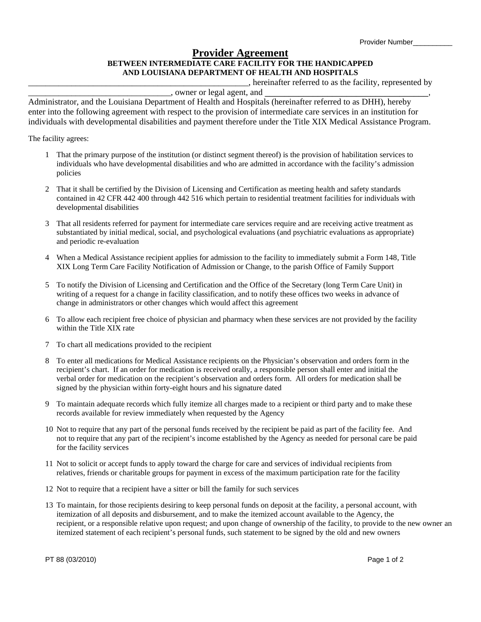### **Provider Agreement BETWEEN INTERMEDIATE CARE FACILITY FOR THE HANDICAPPED AND LOUISIANA DEPARTMENT OF HEALTH AND HOSPITALS**

\_\_\_\_\_\_\_\_\_\_\_\_\_\_\_\_\_\_\_\_\_\_\_\_\_\_\_\_\_\_\_\_\_\_\_\_\_\_\_\_\_\_\_\_\_\_\_\_\_\_\_, hereinafter referred to as the facility, represented by

\_\_\_\_\_\_\_\_\_\_\_\_\_\_\_\_\_\_\_\_\_\_\_\_\_\_\_\_\_\_\_\_\_, owner or legal agent, and \_\_\_\_\_\_\_\_\_\_\_\_\_\_\_\_\_\_\_\_\_\_\_\_\_\_\_\_\_\_\_\_\_\_,

Administrator, and the Louisiana Department of Health and Hospitals (hereinafter referred to as DHH), hereby enter into the following agreement with respect to the provision of intermediate care services in an institution for individuals with developmental disabilities and payment therefore under the Title XIX Medical Assistance Program.

The facility agrees:

- 1 That the primary purpose of the institution (or distinct segment thereof) is the provision of habilitation services to individuals who have developmental disabilities and who are admitted in accordance with the facility's admission policies
- 2 That it shall be certified by the Division of Licensing and Certification as meeting health and safety standards contained in 42 CFR 442 400 through 442 516 which pertain to residential treatment facilities for individuals with developmental disabilities
- 3 That all residents referred for payment for intermediate care services require and are receiving active treatment as substantiated by initial medical, social, and psychological evaluations (and psychiatric evaluations as appropriate) and periodic re-evaluation
- 4 When a Medical Assistance recipient applies for admission to the facility to immediately submit a Form 148, Title XIX Long Term Care Facility Notification of Admission or Change, to the parish Office of Family Support
- 5 To notify the Division of Licensing and Certification and the Office of the Secretary (long Term Care Unit) in writing of a request for a change in facility classification, and to notify these offices two weeks in advance of change in administrators or other changes which would affect this agreement
- 6 To allow each recipient free choice of physician and pharmacy when these services are not provided by the facility within the Title XIX rate
- 7 To chart all medications provided to the recipient
- 8 To enter all medications for Medical Assistance recipients on the Physician's observation and orders form in the recipient's chart. If an order for medication is received orally, a responsible person shall enter and initial the verbal order for medication on the recipient's observation and orders form. All orders for medication shall be signed by the physician within forty-eight hours and his signature dated
- 9 To maintain adequate records which fully itemize all charges made to a recipient or third party and to make these records available for review immediately when requested by the Agency
- 10 Not to require that any part of the personal funds received by the recipient be paid as part of the facility fee. And not to require that any part of the recipient's income established by the Agency as needed for personal care be paid for the facility services
- 11 Not to solicit or accept funds to apply toward the charge for care and services of individual recipients from relatives, friends or charitable groups for payment in excess of the maximum participation rate for the facility
- 12 Not to require that a recipient have a sitter or bill the family for such services
- 13 To maintain, for those recipients desiring to keep personal funds on deposit at the facility, a personal account, with itemization of all deposits and disbursement, and to make the itemized account available to the Agency, the recipient, or a responsible relative upon request; and upon change of ownership of the facility, to provide to the new owner an itemized statement of each recipient's personal funds, such statement to be signed by the old and new owners